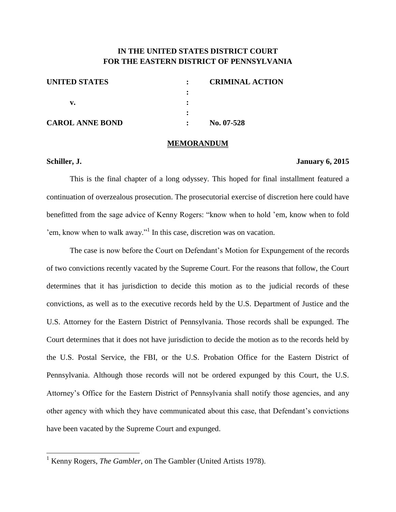# **IN THE UNITED STATES DISTRICT COURT FOR THE EASTERN DISTRICT OF PENNSYLVANIA**

| <b>UNITED STATES</b>   |           | <b>CRIMINAL ACTION</b> |
|------------------------|-----------|------------------------|
|                        |           |                        |
| v.                     |           |                        |
|                        |           |                        |
| <b>CAROL ANNE BOND</b> | $\bullet$ | No. 07-528             |

## **MEMORANDUM**

 $\overline{\phantom{a}}$ 

# **Schiller, J. January 6, 2015**

This is the final chapter of a long odyssey. This hoped for final installment featured a continuation of overzealous prosecution. The prosecutorial exercise of discretion here could have benefitted from the sage advice of Kenny Rogers: "know when to hold 'em, know when to fold 'em, know when to walk away."<sup>1</sup> In this case, discretion was on vacation.

The case is now before the Court on Defendant's Motion for Expungement of the records of two convictions recently vacated by the Supreme Court. For the reasons that follow, the Court determines that it has jurisdiction to decide this motion as to the judicial records of these convictions, as well as to the executive records held by the U.S. Department of Justice and the U.S. Attorney for the Eastern District of Pennsylvania. Those records shall be expunged. The Court determines that it does not have jurisdiction to decide the motion as to the records held by the U.S. Postal Service, the FBI, or the U.S. Probation Office for the Eastern District of Pennsylvania. Although those records will not be ordered expunged by this Court, the U.S. Attorney's Office for the Eastern District of Pennsylvania shall notify those agencies, and any other agency with which they have communicated about this case, that Defendant's convictions have been vacated by the Supreme Court and expunged.

<sup>&</sup>lt;sup>1</sup> Kenny Rogers, *The Gambler*, on The Gambler (United Artists 1978).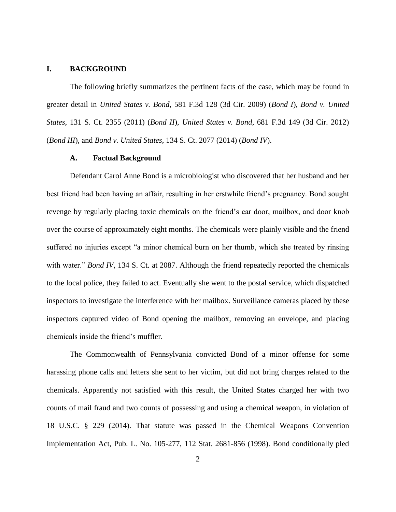## **I. BACKGROUND**

The following briefly summarizes the pertinent facts of the case, which may be found in greater detail in *United States v. Bond*, 581 F.3d 128 (3d Cir. 2009) (*Bond I*), *Bond v. United States*, 131 S. Ct. 2355 (2011) (*Bond II*), *United States v. Bond*, 681 F.3d 149 (3d Cir. 2012) (*Bond III*), and *Bond v. United States*, 134 S. Ct. 2077 (2014) (*Bond IV*).

#### **A. Factual Background**

Defendant Carol Anne Bond is a microbiologist who discovered that her husband and her best friend had been having an affair, resulting in her erstwhile friend's pregnancy. Bond sought revenge by regularly placing toxic chemicals on the friend's car door, mailbox, and door knob over the course of approximately eight months. The chemicals were plainly visible and the friend suffered no injuries except "a minor chemical burn on her thumb, which she treated by rinsing with water." *Bond IV*, 134 S. Ct. at 2087. Although the friend repeatedly reported the chemicals to the local police, they failed to act. Eventually she went to the postal service, which dispatched inspectors to investigate the interference with her mailbox. Surveillance cameras placed by these inspectors captured video of Bond opening the mailbox, removing an envelope, and placing chemicals inside the friend's muffler.

The Commonwealth of Pennsylvania convicted Bond of a minor offense for some harassing phone calls and letters she sent to her victim, but did not bring charges related to the chemicals. Apparently not satisfied with this result, the United States charged her with two counts of mail fraud and two counts of possessing and using a chemical weapon, in violation of 18 U.S.C. § 229 (2014). That statute was passed in the Chemical Weapons Convention Implementation Act, Pub. L. No. 105-277, 112 Stat. 2681-856 (1998). Bond conditionally pled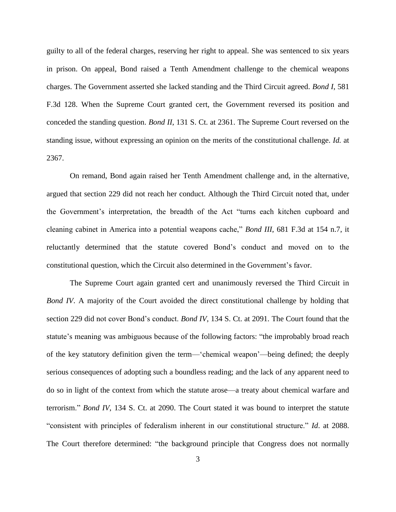guilty to all of the federal charges, reserving her right to appeal. She was sentenced to six years in prison. On appeal, Bond raised a Tenth Amendment challenge to the chemical weapons charges. The Government asserted she lacked standing and the Third Circuit agreed. *Bond I*, 581 F.3d 128. When the Supreme Court granted cert, the Government reversed its position and conceded the standing question. *Bond II*, 131 S. Ct. at 2361. The Supreme Court reversed on the standing issue, without expressing an opinion on the merits of the constitutional challenge. *Id.* at 2367.

On remand, Bond again raised her Tenth Amendment challenge and, in the alternative, argued that section 229 did not reach her conduct. Although the Third Circuit noted that, under the Government's interpretation, the breadth of the Act "turns each kitchen cupboard and cleaning cabinet in America into a potential weapons cache," *Bond III*, 681 F.3d at 154 n.7, it reluctantly determined that the statute covered Bond's conduct and moved on to the constitutional question, which the Circuit also determined in the Government's favor.

The Supreme Court again granted cert and unanimously reversed the Third Circuit in *Bond IV*. A majority of the Court avoided the direct constitutional challenge by holding that section 229 did not cover Bond's conduct. *Bond IV*, 134 S. Ct. at 2091. The Court found that the statute's meaning was ambiguous because of the following factors: "the improbably broad reach of the key statutory definition given the term—'chemical weapon'—being defined; the deeply serious consequences of adopting such a boundless reading; and the lack of any apparent need to do so in light of the context from which the statute arose—a treaty about chemical warfare and terrorism." *Bond IV*, 134 S. Ct. at 2090. The Court stated it was bound to interpret the statute "consistent with principles of federalism inherent in our constitutional structure." *Id*. at 2088. The Court therefore determined: "the background principle that Congress does not normally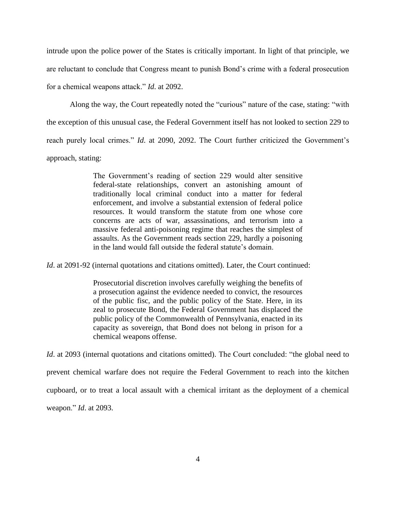intrude upon the police power of the States is critically important. In light of that principle, we are reluctant to conclude that Congress meant to punish Bond's crime with a federal prosecution for a chemical weapons attack." *Id*. at 2092.

Along the way, the Court repeatedly noted the "curious" nature of the case, stating: "with the exception of this unusual case, the Federal Government itself has not looked to section 229 to reach purely local crimes." *Id*. at 2090, 2092. The Court further criticized the Government's approach, stating:

> The Government's reading of section 229 would alter sensitive federal-state relationships, convert an astonishing amount of traditionally local criminal conduct into a matter for federal enforcement, and involve a substantial extension of federal police resources. It would transform the statute from one whose core concerns are acts of war, assassinations, and terrorism into a massive federal anti-poisoning regime that reaches the simplest of assaults. As the Government reads section 229, hardly a poisoning in the land would fall outside the federal statute's domain.

*Id.* at 2091-92 (internal quotations and citations omitted). Later, the Court continued:

Prosecutorial discretion involves carefully weighing the benefits of a prosecution against the evidence needed to convict, the resources of the public fisc, and the public policy of the State. Here, in its zeal to prosecute Bond, the Federal Government has displaced the public policy of the Commonwealth of Pennsylvania, enacted in its capacity as sovereign, that Bond does not belong in prison for a chemical weapons offense.

*Id.* at 2093 (internal quotations and citations omitted). The Court concluded: "the global need to prevent chemical warfare does not require the Federal Government to reach into the kitchen cupboard, or to treat a local assault with a chemical irritant as the deployment of a chemical weapon." *Id*. at 2093.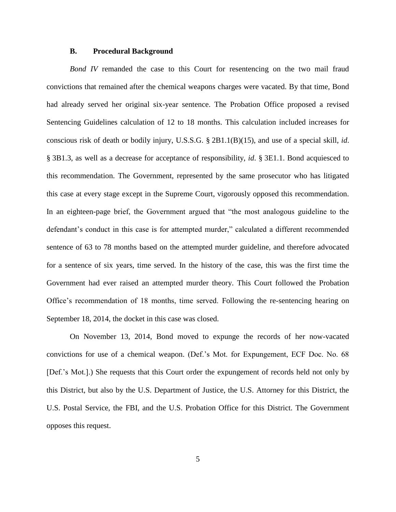# **B. Procedural Background**

*Bond IV* remanded the case to this Court for resentencing on the two mail fraud convictions that remained after the chemical weapons charges were vacated. By that time, Bond had already served her original six-year sentence. The Probation Office proposed a revised Sentencing Guidelines calculation of 12 to 18 months. This calculation included increases for conscious risk of death or bodily injury, U.S.S.G. § 2B1.1(B)(15), and use of a special skill, *id*. § 3B1.3, as well as a decrease for acceptance of responsibility, *id*. § 3E1.1. Bond acquiesced to this recommendation. The Government, represented by the same prosecutor who has litigated this case at every stage except in the Supreme Court, vigorously opposed this recommendation. In an eighteen-page brief, the Government argued that "the most analogous guideline to the defendant's conduct in this case is for attempted murder," calculated a different recommended sentence of 63 to 78 months based on the attempted murder guideline, and therefore advocated for a sentence of six years, time served. In the history of the case, this was the first time the Government had ever raised an attempted murder theory. This Court followed the Probation Office's recommendation of 18 months, time served. Following the re-sentencing hearing on September 18, 2014, the docket in this case was closed.

On November 13, 2014, Bond moved to expunge the records of her now-vacated convictions for use of a chemical weapon. (Def.'s Mot. for Expungement, ECF Doc. No. 68 [Def.'s Mot.].) She requests that this Court order the expungement of records held not only by this District, but also by the U.S. Department of Justice, the U.S. Attorney for this District, the U.S. Postal Service, the FBI, and the U.S. Probation Office for this District. The Government opposes this request.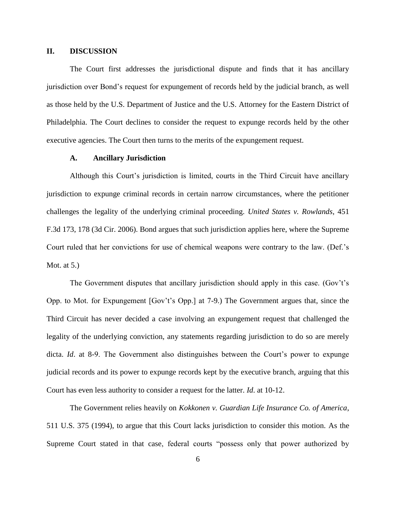# **II. DISCUSSION**

The Court first addresses the jurisdictional dispute and finds that it has ancillary jurisdiction over Bond's request for expungement of records held by the judicial branch, as well as those held by the U.S. Department of Justice and the U.S. Attorney for the Eastern District of Philadelphia. The Court declines to consider the request to expunge records held by the other executive agencies. The Court then turns to the merits of the expungement request.

# **A. Ancillary Jurisdiction**

Although this Court's jurisdiction is limited, courts in the Third Circuit have ancillary jurisdiction to expunge criminal records in certain narrow circumstances, where the petitioner challenges the legality of the underlying criminal proceeding. *United States v. Rowlands*, 451 F.3d 173, 178 (3d Cir. 2006). Bond argues that such jurisdiction applies here, where the Supreme Court ruled that her convictions for use of chemical weapons were contrary to the law. (Def.'s Mot. at 5.)

The Government disputes that ancillary jurisdiction should apply in this case. (Gov't's Opp. to Mot. for Expungement [Gov't's Opp.] at 7-9.) The Government argues that, since the Third Circuit has never decided a case involving an expungement request that challenged the legality of the underlying conviction, any statements regarding jurisdiction to do so are merely dicta. *Id*. at 8-9. The Government also distinguishes between the Court's power to expunge judicial records and its power to expunge records kept by the executive branch, arguing that this Court has even less authority to consider a request for the latter. *Id*. at 10-12.

The Government relies heavily on *Kokkonen v. Guardian Life Insurance Co. of America*, 511 U.S. 375 (1994), to argue that this Court lacks jurisdiction to consider this motion. As the Supreme Court stated in that case, federal courts "possess only that power authorized by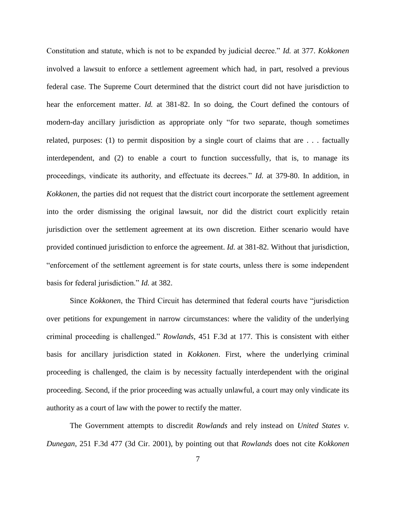Constitution and statute, which is not to be expanded by judicial decree." *Id.* at 377. *Kokkonen* involved a lawsuit to enforce a settlement agreement which had, in part, resolved a previous federal case. The Supreme Court determined that the district court did not have jurisdiction to hear the enforcement matter. *Id.* at 381-82. In so doing, the Court defined the contours of modern-day ancillary jurisdiction as appropriate only "for two separate, though sometimes related, purposes: (1) to permit disposition by a single court of claims that are . . . factually interdependent, and (2) to enable a court to function successfully, that is, to manage its proceedings, vindicate its authority, and effectuate its decrees." *Id.* at 379-80. In addition, in *Kokkonen*, the parties did not request that the district court incorporate the settlement agreement into the order dismissing the original lawsuit, nor did the district court explicitly retain jurisdiction over the settlement agreement at its own discretion. Either scenario would have provided continued jurisdiction to enforce the agreement. *Id.* at 381-82. Without that jurisdiction, "enforcement of the settlement agreement is for state courts, unless there is some independent basis for federal jurisdiction." *Id.* at 382.

Since *Kokkonen*, the Third Circuit has determined that federal courts have "jurisdiction over petitions for expungement in narrow circumstances: where the validity of the underlying criminal proceeding is challenged." *Rowlands*, 451 F.3d at 177. This is consistent with either basis for ancillary jurisdiction stated in *Kokkonen*. First, where the underlying criminal proceeding is challenged, the claim is by necessity factually interdependent with the original proceeding. Second, if the prior proceeding was actually unlawful, a court may only vindicate its authority as a court of law with the power to rectify the matter.

The Government attempts to discredit *Rowlands* and rely instead on *United States v. Dunegan*, 251 F.3d 477 (3d Cir. 2001), by pointing out that *Rowlands* does not cite *Kokkonen*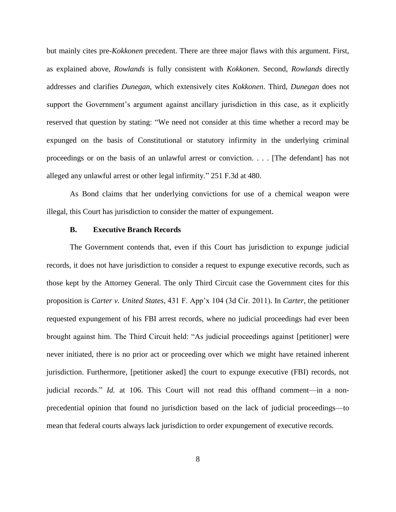but mainly cites pre-*Kokkonen* precedent. There are three major flaws with this argument. First, as explained above, *Rowlands* is fully consistent with *Kokkonen*. Second, *Rowlands* directly addresses and clarifies *Dunegan*, which extensively cites *Kokkonen*. Third, *Dunegan* does not support the Government's argument against ancillary jurisdiction in this case, as it explicitly reserved that question by stating: "We need not consider at this time whether a record may be expunged on the basis of Constitutional or statutory infirmity in the underlying criminal proceedings or on the basis of an unlawful arrest or conviction. . . . [The defendant] has not alleged any unlawful arrest or other legal infirmity." 251 F.3d at 480.

As Bond claims that her underlying convictions for use of a chemical weapon were illegal, this Court has jurisdiction to consider the matter of expungement.

## **B. Executive Branch Records**

The Government contends that, even if this Court has jurisdiction to expunge judicial records, it does not have jurisdiction to consider a request to expunge executive records, such as those kept by the Attorney General. The only Third Circuit case the Government cites for this proposition is *Carter v. United States*, 431 F. App'x 104 (3d Cir. 2011). In *Carter*, the petitioner requested expungement of his FBI arrest records, where no judicial proceedings had ever been brought against him. The Third Circuit held: "As judicial proceedings against [petitioner] were never initiated, there is no prior act or proceeding over which we might have retained inherent jurisdiction. Furthermore, [petitioner asked] the court to expunge executive (FBI) records, not judicial records." *Id.* at 106. This Court will not read this offhand comment—in a nonprecedential opinion that found no jurisdiction based on the lack of judicial proceedings—to mean that federal courts always lack jurisdiction to order expungement of executive records.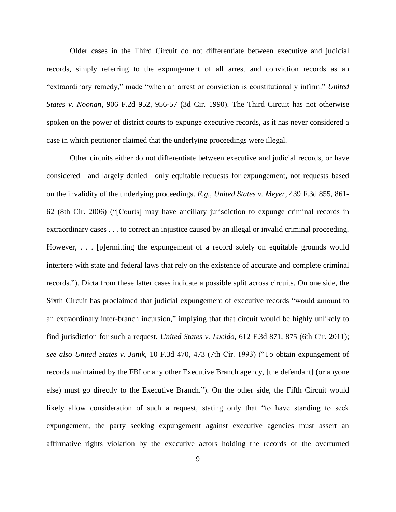Older cases in the Third Circuit do not differentiate between executive and judicial records, simply referring to the expungement of all arrest and conviction records as an "extraordinary remedy," made "when an arrest or conviction is constitutionally infirm." *United States v. Noonan*, 906 F.2d 952, 956-57 (3d Cir. 1990). The Third Circuit has not otherwise spoken on the power of district courts to expunge executive records, as it has never considered a case in which petitioner claimed that the underlying proceedings were illegal.

Other circuits either do not differentiate between executive and judicial records, or have considered—and largely denied—only equitable requests for expungement, not requests based on the invalidity of the underlying proceedings. *E.g.*, *United States v. Meyer*, 439 F.3d 855, 861- 62 (8th Cir. 2006) ("[Courts] may have ancillary jurisdiction to expunge criminal records in extraordinary cases . . . to correct an injustice caused by an illegal or invalid criminal proceeding. However, ... [p]ermitting the expungement of a record solely on equitable grounds would interfere with state and federal laws that rely on the existence of accurate and complete criminal records."). Dicta from these latter cases indicate a possible split across circuits. On one side, the Sixth Circuit has proclaimed that judicial expungement of executive records "would amount to an extraordinary inter-branch incursion," implying that that circuit would be highly unlikely to find jurisdiction for such a request. *United States v. Lucido*, 612 F.3d 871, 875 (6th Cir. 2011); *see also United States v. Janik*, 10 F.3d 470, 473 (7th Cir. 1993) ("To obtain expungement of records maintained by the FBI or any other Executive Branch agency, [the defendant] (or anyone else) must go directly to the Executive Branch."). On the other side, the Fifth Circuit would likely allow consideration of such a request, stating only that "to have standing to seek expungement, the party seeking expungement against executive agencies must assert an affirmative rights violation by the executive actors holding the records of the overturned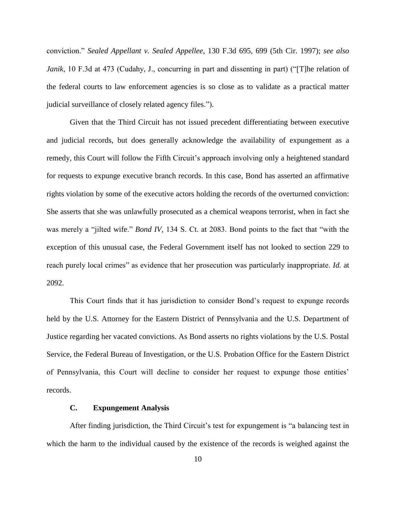conviction." *Sealed Appellant v. Sealed Appellee*, 130 F.3d 695, 699 (5th Cir. 1997); *see also Janik*, 10 F.3d at 473 (Cudahy, J., concurring in part and dissenting in part) ("The relation of the federal courts to law enforcement agencies is so close as to validate as a practical matter judicial surveillance of closely related agency files.").

Given that the Third Circuit has not issued precedent differentiating between executive and judicial records, but does generally acknowledge the availability of expungement as a remedy, this Court will follow the Fifth Circuit's approach involving only a heightened standard for requests to expunge executive branch records. In this case, Bond has asserted an affirmative rights violation by some of the executive actors holding the records of the overturned conviction: She asserts that she was unlawfully prosecuted as a chemical weapons terrorist, when in fact she was merely a "jilted wife." *Bond IV*, 134 S. Ct. at 2083. Bond points to the fact that "with the exception of this unusual case, the Federal Government itself has not looked to section 229 to reach purely local crimes" as evidence that her prosecution was particularly inappropriate. *Id.* at 2092.

This Court finds that it has jurisdiction to consider Bond's request to expunge records held by the U.S. Attorney for the Eastern District of Pennsylvania and the U.S. Department of Justice regarding her vacated convictions. As Bond asserts no rights violations by the U.S. Postal Service, the Federal Bureau of Investigation, or the U.S. Probation Office for the Eastern District of Pennsylvania, this Court will decline to consider her request to expunge those entities' records.

### **C. Expungement Analysis**

After finding jurisdiction, the Third Circuit's test for expungement is "a balancing test in which the harm to the individual caused by the existence of the records is weighed against the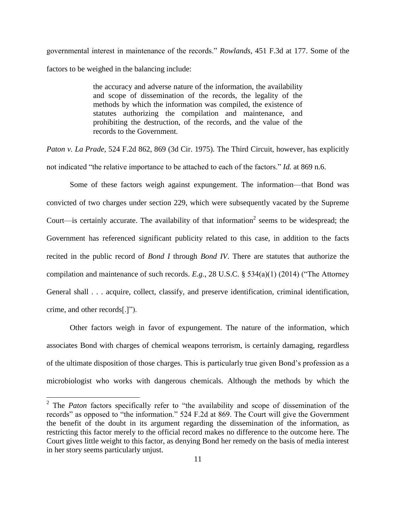governmental interest in maintenance of the records." *Rowlands*, 451 F.3d at 177. Some of the factors to be weighed in the balancing include:

> the accuracy and adverse nature of the information, the availability and scope of dissemination of the records, the legality of the methods by which the information was compiled, the existence of statutes authorizing the compilation and maintenance, and prohibiting the destruction, of the records, and the value of the records to the Government.

*Paton v. La Prade*, 524 F.2d 862, 869 (3d Cir. 1975). The Third Circuit, however, has explicitly not indicated "the relative importance to be attached to each of the factors." *Id.* at 869 n.6.

Some of these factors weigh against expungement. The information—that Bond was convicted of two charges under section 229, which were subsequently vacated by the Supreme Court—is certainly accurate. The availability of that information<sup>2</sup> seems to be widespread; the Government has referenced significant publicity related to this case, in addition to the facts recited in the public record of *Bond I* through *Bond IV*. There are statutes that authorize the compilation and maintenance of such records. *E.g.*, 28 U.S.C. § 534(a)(1) (2014) ("The Attorney General shall . . . acquire, collect, classify, and preserve identification, criminal identification, crime, and other records[.]").

Other factors weigh in favor of expungement. The nature of the information, which associates Bond with charges of chemical weapons terrorism, is certainly damaging, regardless of the ultimate disposition of those charges. This is particularly true given Bond's profession as a microbiologist who works with dangerous chemicals. Although the methods by which the

<sup>&</sup>lt;sup>2</sup> The *Paton* factors specifically refer to "the availability and scope of dissemination of the records" as opposed to "the information." 524 F.2d at 869. The Court will give the Government the benefit of the doubt in its argument regarding the dissemination of the information, as restricting this factor merely to the official record makes no difference to the outcome here. The Court gives little weight to this factor, as denying Bond her remedy on the basis of media interest in her story seems particularly unjust.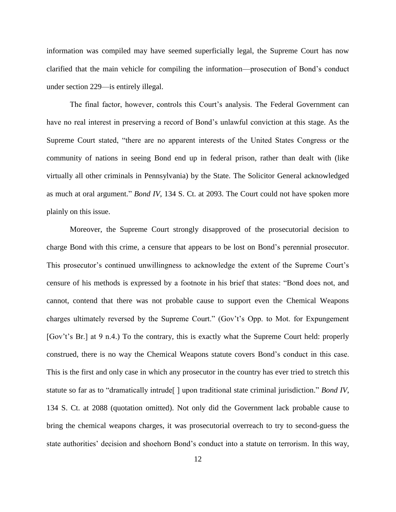information was compiled may have seemed superficially legal, the Supreme Court has now clarified that the main vehicle for compiling the information—prosecution of Bond's conduct under section 229—is entirely illegal.

The final factor, however, controls this Court's analysis. The Federal Government can have no real interest in preserving a record of Bond's unlawful conviction at this stage. As the Supreme Court stated, "there are no apparent interests of the United States Congress or the community of nations in seeing Bond end up in federal prison, rather than dealt with (like virtually all other criminals in Pennsylvania) by the State. The Solicitor General acknowledged as much at oral argument." *Bond IV*, 134 S. Ct. at 2093. The Court could not have spoken more plainly on this issue.

Moreover, the Supreme Court strongly disapproved of the prosecutorial decision to charge Bond with this crime, a censure that appears to be lost on Bond's perennial prosecutor. This prosecutor's continued unwillingness to acknowledge the extent of the Supreme Court's censure of his methods is expressed by a footnote in his brief that states: "Bond does not, and cannot, contend that there was not probable cause to support even the Chemical Weapons charges ultimately reversed by the Supreme Court." (Gov't's Opp. to Mot. for Expungement [Gov't's Br.] at 9 n.4.) To the contrary, this is exactly what the Supreme Court held: properly construed, there is no way the Chemical Weapons statute covers Bond's conduct in this case. This is the first and only case in which any prosecutor in the country has ever tried to stretch this statute so far as to "dramatically intrude[ ] upon traditional state criminal jurisdiction." *Bond IV*, 134 S. Ct. at 2088 (quotation omitted). Not only did the Government lack probable cause to bring the chemical weapons charges, it was prosecutorial overreach to try to second-guess the state authorities' decision and shoehorn Bond's conduct into a statute on terrorism. In this way,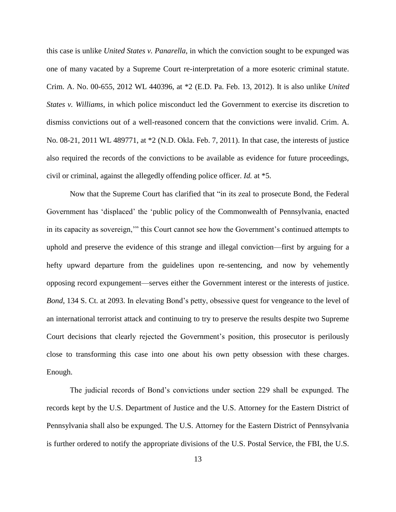this case is unlike *United States v. Panarella*, in which the conviction sought to be expunged was one of many vacated by a Supreme Court re-interpretation of a more esoteric criminal statute. Crim. A. No. 00-655, 2012 WL 440396, at \*2 (E.D. Pa. Feb. 13, 2012). It is also unlike *United States v. Williams*, in which police misconduct led the Government to exercise its discretion to dismiss convictions out of a well-reasoned concern that the convictions were invalid. Crim. A. No. 08-21, 2011 WL 489771, at \*2 (N.D. Okla. Feb. 7, 2011). In that case, the interests of justice also required the records of the convictions to be available as evidence for future proceedings, civil or criminal, against the allegedly offending police officer. *Id.* at \*5.

Now that the Supreme Court has clarified that "in its zeal to prosecute Bond, the Federal Government has 'displaced' the 'public policy of the Commonwealth of Pennsylvania, enacted in its capacity as sovereign,'" this Court cannot see how the Government's continued attempts to uphold and preserve the evidence of this strange and illegal conviction—first by arguing for a hefty upward departure from the guidelines upon re-sentencing, and now by vehemently opposing record expungement—serves either the Government interest or the interests of justice. *Bond*, 134 S. Ct. at 2093. In elevating Bond's petty, obsessive quest for vengeance to the level of an international terrorist attack and continuing to try to preserve the results despite two Supreme Court decisions that clearly rejected the Government's position, this prosecutor is perilously close to transforming this case into one about his own petty obsession with these charges. Enough.

The judicial records of Bond's convictions under section 229 shall be expunged. The records kept by the U.S. Department of Justice and the U.S. Attorney for the Eastern District of Pennsylvania shall also be expunged. The U.S. Attorney for the Eastern District of Pennsylvania is further ordered to notify the appropriate divisions of the U.S. Postal Service, the FBI, the U.S.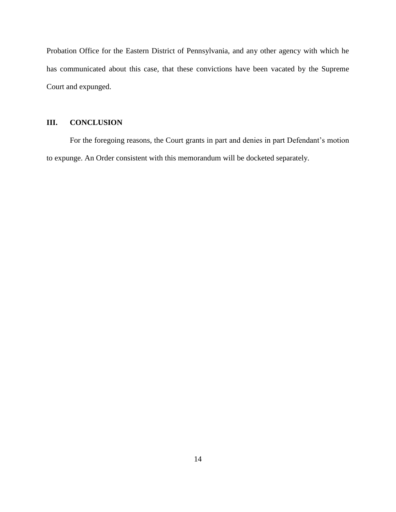Probation Office for the Eastern District of Pennsylvania, and any other agency with which he has communicated about this case, that these convictions have been vacated by the Supreme Court and expunged.

# **III. CONCLUSION**

For the foregoing reasons, the Court grants in part and denies in part Defendant's motion to expunge. An Order consistent with this memorandum will be docketed separately.